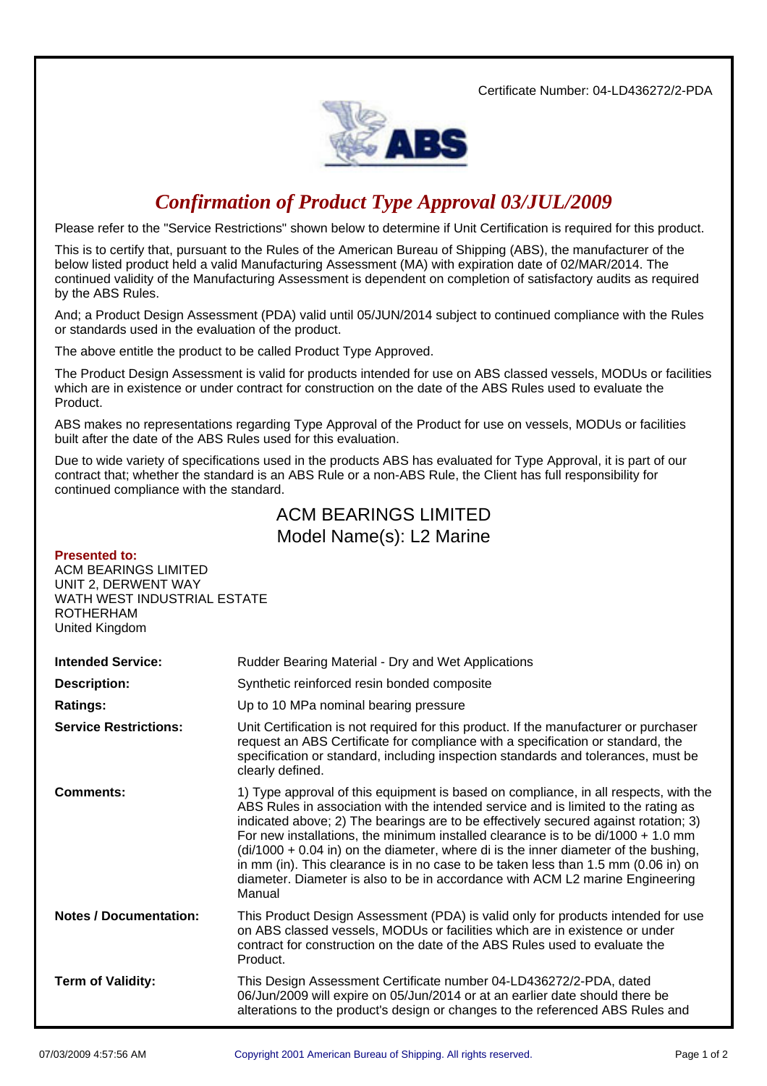Certificate Number: 04-LD436272/2-PDA



## *Confirmation of Product Type Approval 03/JUL/2009*

Please refer to the "Service Restrictions" shown below to determine if Unit Certification is required for this product.

This is to certify that, pursuant to the Rules of the American Bureau of Shipping (ABS), the manufacturer of the below listed product held a valid Manufacturing Assessment (MA) with expiration date of 02/MAR/2014. The continued validity of the Manufacturing Assessment is dependent on completion of satisfactory audits as required by the ABS Rules.

And; a Product Design Assessment (PDA) valid until 05/JUN/2014 subject to continued compliance with the Rules or standards used in the evaluation of the product.

The above entitle the product to be called Product Type Approved.

The Product Design Assessment is valid for products intended for use on ABS classed vessels, MODUs or facilities which are in existence or under contract for construction on the date of the ABS Rules used to evaluate the Product.

ABS makes no representations regarding Type Approval of the Product for use on vessels, MODUs or facilities built after the date of the ABS Rules used for this evaluation.

Due to wide variety of specifications used in the products ABS has evaluated for Type Approval, it is part of our contract that; whether the standard is an ABS Rule or a non-ABS Rule, the Client has full responsibility for continued compliance with the standard.

## ACM BEARINGS LIMITED Model Name(s): L2 Marine

## **Presented to:** ACM BEARINGS LIMITED UNIT 2, DERWENT WAY WATH WEST INDUSTRIAL ESTATE ROTHERHAM United Kingdom **Intended Service:** Rudder Bearing Material - Dry and Wet Applications **Description:** Synthetic reinforced resin bonded composite **Ratings:** Up to 10 MPa nominal bearing pressure **Service Restrictions:** Unit Certification is not required for this product. If the manufacturer or purchaser request an ABS Certificate for compliance with a specification or standard, the specification or standard, including inspection standards and tolerances, must be clearly defined. **Comments:** 1) Type approval of this equipment is based on compliance, in all respects, with the ABS Rules in association with the intended service and is limited to the rating as indicated above; 2) The bearings are to be effectively secured against rotation; 3) For new installations, the minimum installed clearance is to be  $di/1000 + 1.0$  mm  $\frac{di}{1000} + 0.04$  in) on the diameter, where di is the inner diameter of the bushing, in mm (in). This clearance is in no case to be taken less than 1.5 mm (0.06 in) on diameter. Diameter is also to be in accordance with ACM L2 marine Engineering Manual **Notes / Documentation:** This Product Design Assessment (PDA) is valid only for products intended for use on ABS classed vessels, MODUs or facilities which are in existence or under contract for construction on the date of the ABS Rules used to evaluate the Product. **Term of Validity:** This Design Assessment Certificate number 04-LD436272/2-PDA, dated 06/Jun/2009 will expire on 05/Jun/2014 or at an earlier date should there be alterations to the product's design or changes to the referenced ABS Rules and